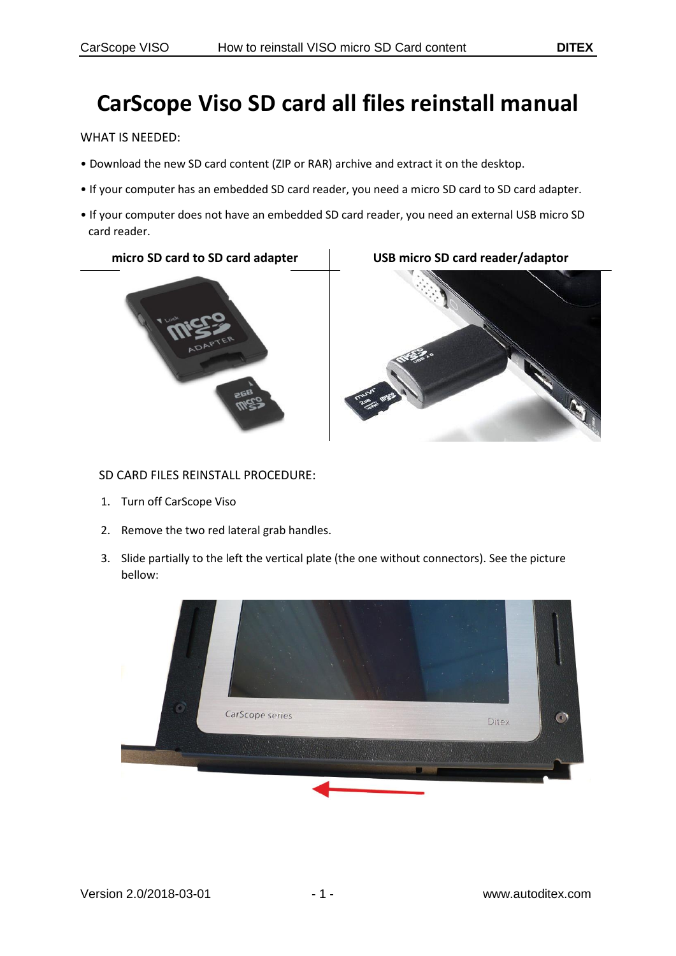## **CarScope Viso SD card all files reinstall manual**

WHAT IS NEEDED:

- Download the new SD card content (ZIP or RAR) archive and extract it on the desktop.
- If your computer has an embedded SD card reader, you need a micro SD card to SD card adapter.
- If your computer does not have an embedded SD card reader, you need an external USB micro SD card reader.

**micro SD card to SD card adapter USB micro SD card reader/adaptor**





## SD CARD FILES REINSTALL PROCEDURE:

- 1. Turn off CarScope Viso
- 2. Remove the two red lateral grab handles.
- 3. Slide partially to the left the vertical plate (the one without connectors). See the picture bellow:

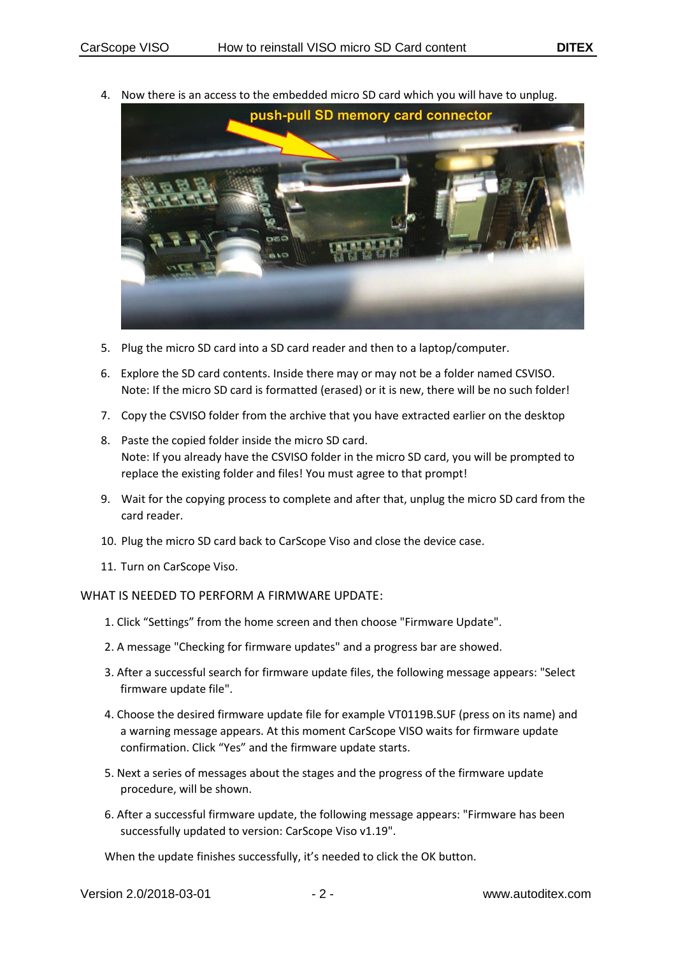4. Now there is an access to the embedded micro SD card which you will have to unplug.



- 5. Plug the micro SD card into a SD card reader and then to a laptop/computer.
- 6. Explore the SD card contents. Inside there may or may not be a folder named CSVISO. Note: If the micro SD card is formatted (erased) or it is new, there will be no such folder!
- 7. Copy the CSVISO folder from the archive that you have extracted earlier on the desktop
- 8. Paste the copied folder inside the micro SD card. Note: If you already have the CSVISO folder in the micro SD card, you will be prompted to replace the existing folder and files! You must agree to that prompt!
- 9. Wait for the copying process to complete and after that, unplug the micro SD card from the card reader.
- 10. Plug the micro SD card back to CarScope Viso and close the device case.
- 11. Turn on CarScope Viso.

## WHAT IS NEEDED TO PERFORM A FIRMWARE UPDATE:

- 1. Click "Settings" from the home screen and then choose "Firmware Update".
- 2. A message "Checking for firmware updates" and a progress bar are showed.
- 3. After a successful search for firmware update files, the following message appears: "Select firmware update file".
- 4. Choose the desired firmware update file for example VT0119B.SUF (press on its name) and a warning message appears. At this moment CarScope VISO waits for firmware update confirmation. Click "Yes" and the firmware update starts.
- 5. Next a series of messages about the stages and the progress of the firmware update procedure, will be shown.
- 6. After a successful firmware update, the following message appears: "Firmware has been successfully updated to version: CarScope Viso v1.19".

When the update finishes successfully, it's needed to click the OK button.